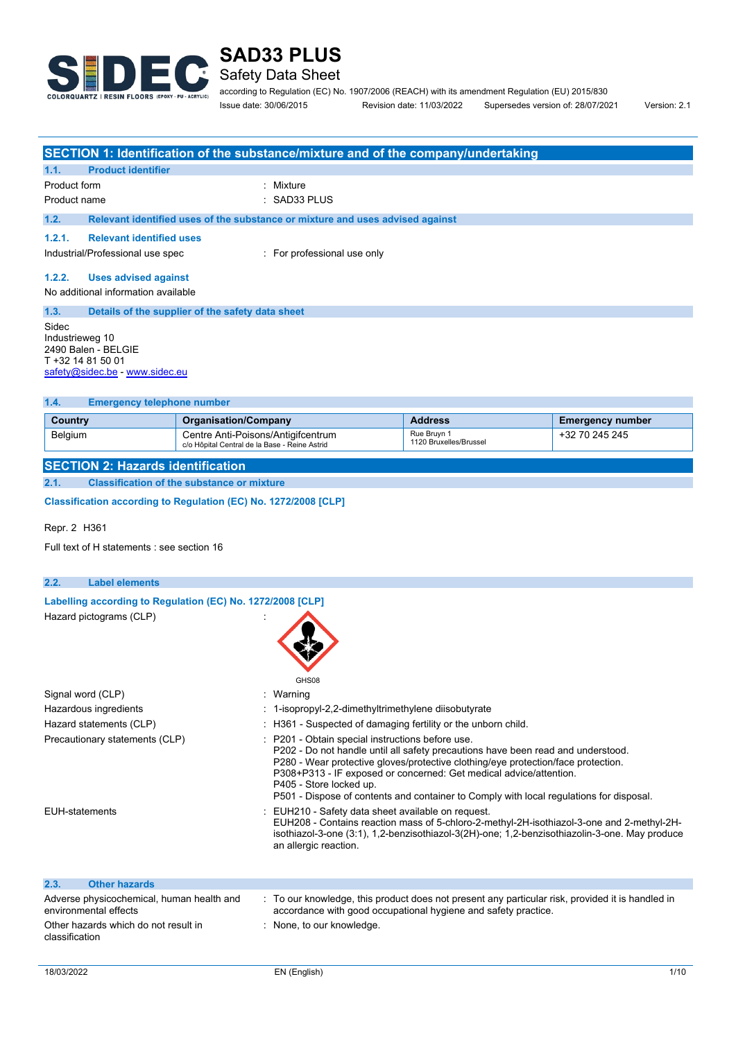

## Safety Data Sheet

according to Regulation (EC) No. 1907/2006 (REACH) with its amendment Regulation (EU) 2015/830 Issue date: 30/06/2015 Revision date: 11/03/2022 Supersedes version of: 28/07/2021 Version: 2.1

**SECTION 1: Identification of the substance/mixture and of the company/undertaking 1.1. Product identifier** Product form **: Mixture** Product name : SAD33 PLUS **1.2. Relevant identified uses of the substance or mixture and uses advised against 1.2.1. Relevant identified uses** Industrial/Professional use spec : For professional use only **1.2.2. Uses advised against** No additional information available **1.3. Details of the supplier of the safety data sheet** Sidec Industrieweg 10 2490 Balen - BELGIE T +32 14 81 50 01 [safety@sidec.be](mailto:safety@sidec.be) - [www.sidec.eu](http://www.sidec.eu/) **1.4. Emergency telephone number Country <b>Country Country Country Address Emergency number Address Emergency number** Belgium Centre Anti-Poisons/Antigifcentrum c/o Hôpital Central de la Base - Reine Astrid Rue Bruyn 1 1120 Bruxelles/Brussel +32 70 245 245 **SECTION 2: Hazards identification**

**2.1. Classification of the substance or mixture**

**Classification according to Regulation (EC) No. 1272/2008 [CLP]** 

Repr. 2 H361

Full text of H statements : see section 16

| 2.2.<br><b>Label elements</b>                                      |                                                                                                                                                                                                                                                                                                                                                                                                                       |
|--------------------------------------------------------------------|-----------------------------------------------------------------------------------------------------------------------------------------------------------------------------------------------------------------------------------------------------------------------------------------------------------------------------------------------------------------------------------------------------------------------|
| Labelling according to Regulation (EC) No. 1272/2008 [CLP]         |                                                                                                                                                                                                                                                                                                                                                                                                                       |
| Hazard pictograms (CLP)                                            | GHS08                                                                                                                                                                                                                                                                                                                                                                                                                 |
| Signal word (CLP)                                                  | : Warning                                                                                                                                                                                                                                                                                                                                                                                                             |
| Hazardous ingredients                                              | 1-isopropyl-2,2-dimethyltrimethylene diisobutyrate                                                                                                                                                                                                                                                                                                                                                                    |
| Hazard statements (CLP)                                            | : H361 - Suspected of damaging fertility or the unborn child.                                                                                                                                                                                                                                                                                                                                                         |
| Precautionary statements (CLP)                                     | : P201 - Obtain special instructions before use.<br>P202 - Do not handle until all safety precautions have been read and understood.<br>P280 - Wear protective gloves/protective clothing/eye protection/face protection.<br>P308+P313 - IF exposed or concerned: Get medical advice/attention.<br>P405 - Store locked up.<br>P501 - Dispose of contents and container to Comply with local regulations for disposal. |
| <b>EUH-statements</b>                                              | : EUH210 - Safety data sheet available on request.<br>EUH208 - Contains reaction mass of 5-chloro-2-methyl-2H-isothiazol-3-one and 2-methyl-2H-<br>isothiazol-3-one (3:1), 1.2-benzisothiazol-3(2H)-one; 1.2-benzisothiazolin-3-one. May produce<br>an allergic reaction.                                                                                                                                             |
| <b>Other hazards</b><br>2.3.                                       |                                                                                                                                                                                                                                                                                                                                                                                                                       |
| Adverse physicochemical, human health and<br>environmental effects | : To our knowledge, this product does not present any particular risk, provided it is handled in<br>accordance with good occupational hygiene and safety practice.                                                                                                                                                                                                                                                    |
| Other hazards which do not result in<br>classification             | : None, to our knowledge.                                                                                                                                                                                                                                                                                                                                                                                             |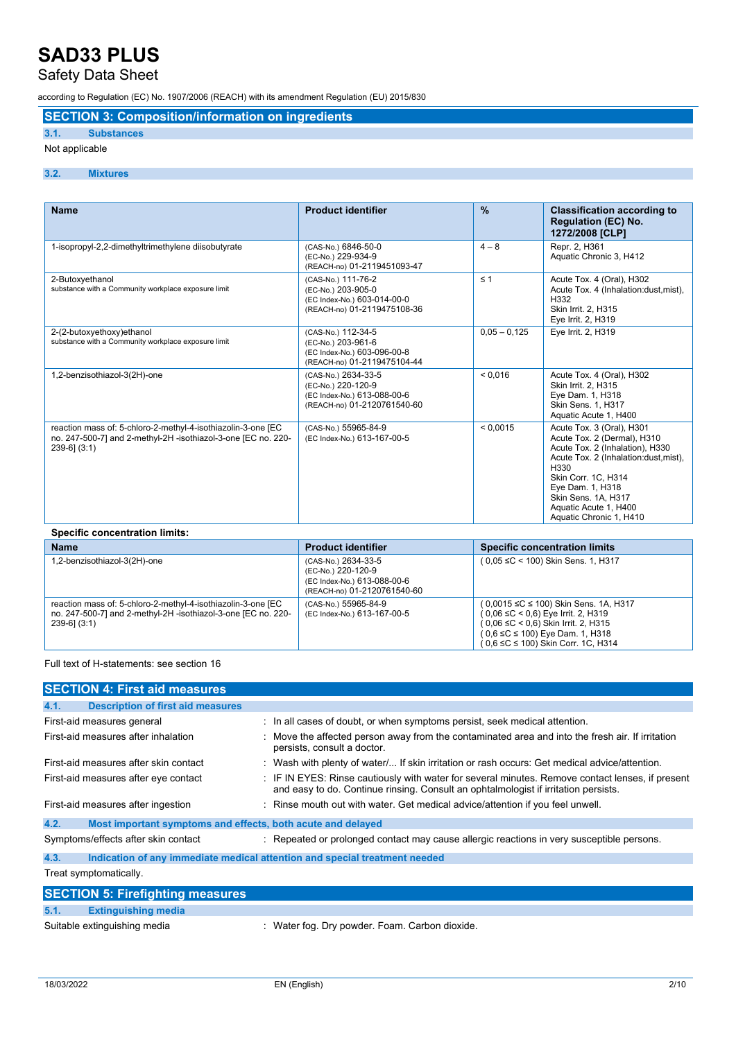### Safety Data Sheet

according to Regulation (EC) No. 1907/2006 (REACH) with its amendment Regulation (EU) 2015/830

#### **SECTION 3: Composition/information on ingredients**

#### **3.1. Substances**

#### Not applicable

#### **3.2. Mixtures**

| <b>Name</b>                                                                                                                                        | <b>Product identifier</b>                                                                               | $\frac{9}{6}$  | <b>Classification according to</b><br><b>Regulation (EC) No.</b><br>1272/2008 [CLP]                                                                                                                                                                                |
|----------------------------------------------------------------------------------------------------------------------------------------------------|---------------------------------------------------------------------------------------------------------|----------------|--------------------------------------------------------------------------------------------------------------------------------------------------------------------------------------------------------------------------------------------------------------------|
| 1-isopropyl-2,2-dimethyltrimethylene diisobutyrate                                                                                                 | (CAS-No.) 6846-50-0<br>(EC-No.) 229-934-9<br>(REACH-no) 01-2119451093-47                                | $4 - 8$        | Repr. 2, H361<br>Aquatic Chronic 3, H412                                                                                                                                                                                                                           |
| 2-Butoxyethanol<br>substance with a Community workplace exposure limit                                                                             | (CAS-No.) 111-76-2<br>(EC-No.) 203-905-0<br>(EC Index-No.) 603-014-00-0<br>(REACH-no) 01-2119475108-36  | $\leq 1$       | Acute Tox. 4 (Oral), H302<br>Acute Tox. 4 (Inhalation:dust, mist),<br>H332<br>Skin Irrit. 2, H315<br>Eye Irrit. 2, H319                                                                                                                                            |
| 2-(2-butoxyethoxy)ethanol<br>substance with a Community workplace exposure limit                                                                   | (CAS-No.) 112-34-5<br>(EC-No.) 203-961-6<br>(EC Index-No.) 603-096-00-8<br>(REACH-no) 01-2119475104-44  | $0.05 - 0.125$ | Eye Irrit. 2, H319                                                                                                                                                                                                                                                 |
| 1,2-benzisothiazol-3(2H)-one                                                                                                                       | (CAS-No.) 2634-33-5<br>(EC-No.) 220-120-9<br>(EC Index-No.) 613-088-00-6<br>(REACH-no) 01-2120761540-60 | < 0.016        | Acute Tox. 4 (Oral), H302<br>Skin Irrit. 2, H315<br>Eye Dam. 1, H318<br><b>Skin Sens. 1. H317</b><br>Aquatic Acute 1, H400                                                                                                                                         |
| reaction mass of: 5-chloro-2-methyl-4-isothiazolin-3-one [EC<br>no. 247-500-7] and 2-methyl-2H -isothiazol-3-one [EC no. 220-<br>$239-6$ ] $(3:1)$ | (CAS-No.) 55965-84-9<br>(EC Index-No.) 613-167-00-5                                                     | < 0.0015       | Acute Tox. 3 (Oral), H301<br>Acute Tox. 2 (Dermal), H310<br>Acute Tox. 2 (Inhalation), H330<br>Acute Tox. 2 (Inhalation:dust, mist),<br>H330<br>Skin Corr. 1C, H314<br>Eye Dam. 1, H318<br>Skin Sens. 1A, H317<br>Aquatic Acute 1. H400<br>Aquatic Chronic 1, H410 |

| <b>Specific concentration limits:</b>                                                                                                              |                                                                                                         |                                                                                                                                                                                                                            |  |  |
|----------------------------------------------------------------------------------------------------------------------------------------------------|---------------------------------------------------------------------------------------------------------|----------------------------------------------------------------------------------------------------------------------------------------------------------------------------------------------------------------------------|--|--|
| <b>Name</b>                                                                                                                                        | <b>Product identifier</b>                                                                               | <b>Specific concentration limits</b>                                                                                                                                                                                       |  |  |
| 1,2-benzisothiazol-3(2H)-one                                                                                                                       | (CAS-No.) 2634-33-5<br>(EC-No.) 220-120-9<br>(EC Index-No.) 613-088-00-6<br>(REACH-no) 01-2120761540-60 | $(0.05 \leq C < 100)$ Skin Sens. 1, H317                                                                                                                                                                                   |  |  |
| reaction mass of: 5-chloro-2-methyl-4-isothiazolin-3-one [EC<br>no. 247-500-7] and 2-methyl-2H -isothiazol-3-one [EC no. 220-<br>$239-6$ ] $(3:1)$ | (CAS-No.) 55965-84-9<br>(EC Index-No.) 613-167-00-5                                                     | ( 0,0015 ≤C ≤ 100) Skin Sens. 1A, H317<br>$(0.06 \leq C < 0.6)$ Eye Irrit. 2, H319<br>$(0.06 \leq C < 0.6)$ Skin Irrit. 2, H315<br>$(0.6 \leq C \leq 100)$ Eye Dam. 1, H318<br>$(0.6 \leq C \leq 100)$ Skin Corr. 1C, H314 |  |  |

Full text of H-statements: see section 16

| <b>SECTION 4: First aid measures</b>                                |                                                                                                                                                                                         |
|---------------------------------------------------------------------|-----------------------------------------------------------------------------------------------------------------------------------------------------------------------------------------|
| 4.1.<br><b>Description of first aid measures</b>                    |                                                                                                                                                                                         |
| First-aid measures general                                          | : In all cases of doubt, or when symptoms persist, seek medical attention.                                                                                                              |
| First-aid measures after inhalation                                 | Move the affected person away from the contaminated area and into the fresh air. If irritation<br>persists, consult a doctor.                                                           |
| First-aid measures after skin contact                               | : Wash with plenty of water/ If skin irritation or rash occurs: Get medical advice/attention.                                                                                           |
| First-aid measures after eye contact                                | F IF IN EYES: Rinse cautiously with water for several minutes. Remove contact lenses, if present<br>and easy to do. Continue rinsing. Consult an ophtalmologist if irritation persists. |
| First-aid measures after ingestion                                  | : Rinse mouth out with water. Get medical advice/attention if you feel unwell.                                                                                                          |
| 4.2.<br>Most important symptoms and effects, both acute and delayed |                                                                                                                                                                                         |
| Symptoms/effects after skin contact                                 | : Repeated or prolonged contact may cause allergic reactions in very susceptible persons.                                                                                               |
| 4.3.                                                                | Indication of any immediate medical attention and special treatment needed                                                                                                              |
| Treat symptomatically.                                              |                                                                                                                                                                                         |
| <b>SECTION 5: Firefighting measures</b>                             |                                                                                                                                                                                         |
| 5.1.<br><b>Extinguishing media</b>                                  |                                                                                                                                                                                         |

Suitable extinguishing media : Water fog. Dry powder. Foam. Carbon dioxide.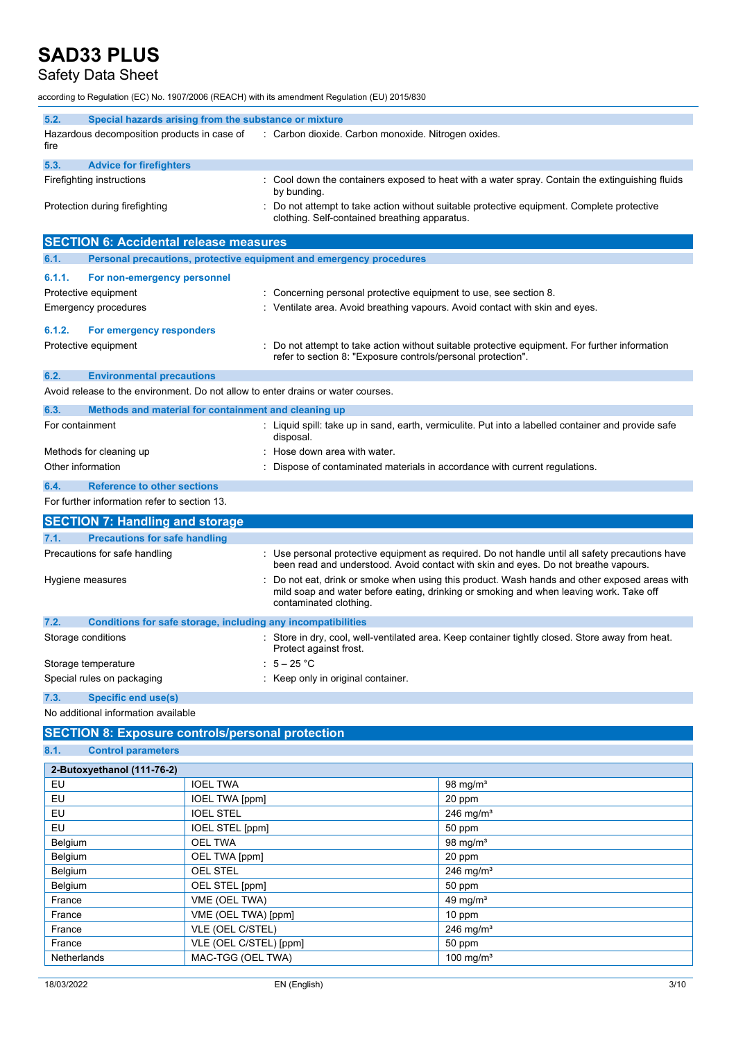### Safety Data Sheet

according to Regulation (EC) No. 1907/2006 (REACH) with its amendment Regulation (EU) 2015/830

| 5.2.   | Special hazards arising from the substance or mixture               |  |                                                                                                                                           |
|--------|---------------------------------------------------------------------|--|-------------------------------------------------------------------------------------------------------------------------------------------|
| fire   | Hazardous decomposition products in case of                         |  | : Carbon dioxide. Carbon monoxide. Nitrogen oxides.                                                                                       |
| 5.3.   | <b>Advice for firefighters</b>                                      |  |                                                                                                                                           |
|        | Firefighting instructions                                           |  | : Cool down the containers exposed to heat with a water spray. Contain the extinguishing fluids<br>by bunding.                            |
|        | Protection during firefighting                                      |  | Do not attempt to take action without suitable protective equipment. Complete protective<br>clothing. Self-contained breathing apparatus. |
|        | <b>SECTION 6: Accidental release measures</b>                       |  |                                                                                                                                           |
| 6.1.   | Personal precautions, protective equipment and emergency procedures |  |                                                                                                                                           |
| 6.1.1. | For non-emergency personnel                                         |  |                                                                                                                                           |

|        | <b>U.I.I.</b> TVI HUITURGIUTURIUT DUISURIUT |                                                                                                                                                                |
|--------|---------------------------------------------|----------------------------------------------------------------------------------------------------------------------------------------------------------------|
|        | Protective equipment                        | : Concerning personal protective equipment to use, see section 8.                                                                                              |
|        | Emergency procedures                        | Ventilate area. Avoid breathing vapours. Avoid contact with skin and eyes.                                                                                     |
| 6.1.2. | For emergency responders                    |                                                                                                                                                                |
|        | Protective equipment                        | : Do not attempt to take action without suitable protective equipment. For further information<br>refer to section 8: "Exposure controls/personal protection". |
| 6.2.   | <b>Environmental precautions</b>            |                                                                                                                                                                |

Avoid release to the environment. Do not allow to enter drains or water courses.

| 6.3.              | Methods and material for containment and cleaning up |  |                                                                                                                |
|-------------------|------------------------------------------------------|--|----------------------------------------------------------------------------------------------------------------|
| For containment   |                                                      |  | Liquid spill: take up in sand, earth, vermiculite. Put into a labelled container and provide safe<br>disposal. |
|                   | Methods for cleaning up                              |  | Hose down area with water.                                                                                     |
| Other information |                                                      |  | Dispose of contaminated materials in accordance with current regulations.                                      |
| 6.4.              | <b>Reference to other sections</b>                   |  |                                                                                                                |

For further information refer to section 13.

| <b>SECTION 7: Handling and storage</b>                               |                                                                                                                                                                                                                   |
|----------------------------------------------------------------------|-------------------------------------------------------------------------------------------------------------------------------------------------------------------------------------------------------------------|
| 7.1.<br><b>Precautions for safe handling</b>                         |                                                                                                                                                                                                                   |
| Precautions for safe handling                                        | : Use personal protective equipment as required. Do not handle until all safety precautions have<br>been read and understood. Avoid contact with skin and eyes. Do not breathe vapours.                           |
| Hygiene measures                                                     | : Do not eat, drink or smoke when using this product. Wash hands and other exposed areas with<br>mild soap and water before eating, drinking or smoking and when leaving work. Take off<br>contaminated clothing. |
| 7.2.<br>Conditions for safe storage, including any incompatibilities |                                                                                                                                                                                                                   |
| Storage conditions                                                   | : Store in dry, cool, well-ventilated area. Keep container tightly closed. Store away from heat.<br>Protect against frost.                                                                                        |
| Storage temperature                                                  | $\div$ 5 – 25 °C                                                                                                                                                                                                  |
| Special rules on packaging                                           | : Keep only in original container.                                                                                                                                                                                |

**7.3. Specific end use(s)** No additional information available

#### **SECTION 8: Exposure controls/personal protection**

**8.1. Control parameters**

| 2-Butoxyethanol (111-76-2) |                        |                       |
|----------------------------|------------------------|-----------------------|
| EU                         | <b>IOEL TWA</b>        | 98 mg/ $m3$           |
| EU                         | <b>IOEL TWA [ppm]</b>  | 20 ppm                |
| EU                         | <b>IOEL STEL</b>       | 246 mg/m <sup>3</sup> |
| EU                         | IOEL STEL [ppm]        | 50 ppm                |
| Belgium                    | <b>OEL TWA</b>         | 98 mg/m <sup>3</sup>  |
| Belgium                    | OEL TWA [ppm]          | 20 ppm                |
| Belgium                    | <b>OEL STEL</b>        | 246 mg/ $m3$          |
| Belgium                    | OEL STEL [ppm]         | 50 ppm                |
| France                     | VME (OEL TWA)          | 49 mg/ $m3$           |
| France                     | VME (OEL TWA) [ppm]    | 10 ppm                |
| France                     | VLE (OEL C/STEL)       | 246 mg/ $m3$          |
| France                     | VLE (OEL C/STEL) [ppm] | 50 ppm                |
| Netherlands                | MAC-TGG (OEL TWA)      | 100 mg/ $m3$          |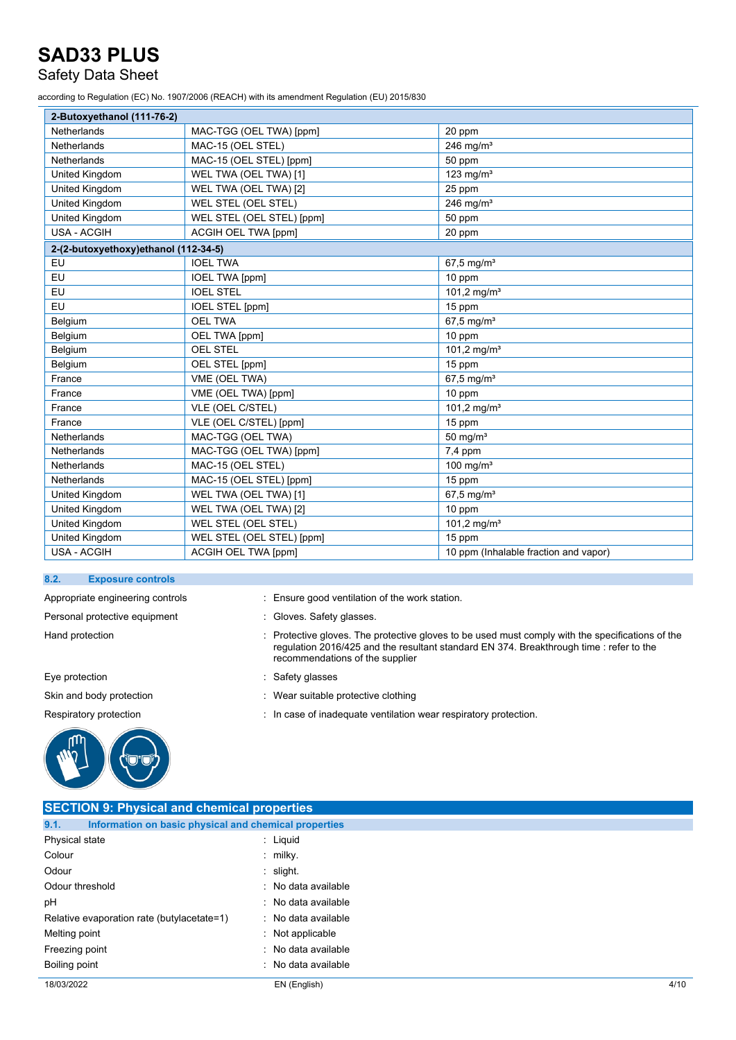### Safety Data Sheet

according to Regulation (EC) No. 1907/2006 (REACH) with its amendment Regulation (EU) 2015/830

| 2-Butoxyethanol (111-76-2)           |                           |                                       |
|--------------------------------------|---------------------------|---------------------------------------|
| Netherlands                          | MAC-TGG (OEL TWA) [ppm]   | 20 ppm                                |
| <b>Netherlands</b>                   | MAC-15 (OEL STEL)         | 246 mg/ $m3$                          |
| Netherlands                          | MAC-15 (OEL STEL) [ppm]   | 50 ppm                                |
| United Kingdom                       | WEL TWA (OEL TWA) [1]     | 123 mg/ $m3$                          |
| <b>United Kingdom</b>                | WEL TWA (OEL TWA) [2]     | 25 ppm                                |
| <b>United Kingdom</b>                | WEL STEL (OEL STEL)       | 246 mg/m $3$                          |
| United Kingdom                       | WEL STEL (OEL STEL) [ppm] | 50 ppm                                |
| <b>USA - ACGIH</b>                   | ACGIH OEL TWA [ppm]       | 20 ppm                                |
| 2-(2-butoxyethoxy)ethanol (112-34-5) |                           |                                       |
| EU                                   | <b>IOEL TWA</b>           | $67,5$ mg/m <sup>3</sup>              |
| EU                                   | <b>IOEL TWA [ppm]</b>     | 10 ppm                                |
| EU                                   | <b>IOEL STEL</b>          | 101,2 mg/m <sup>3</sup>               |
| EU                                   | <b>IOEL STEL [ppm]</b>    | 15 ppm                                |
| Belgium                              | <b>OEL TWA</b>            | $67,5 \,\mathrm{mg/m^3}$              |
| Belgium                              | OEL TWA [ppm]             | 10 ppm                                |
| Belgium                              | <b>OEL STEL</b>           | 101,2 mg/m <sup>3</sup>               |
| Belgium                              | OEL STEL [ppm]            | 15 ppm                                |
| France                               | VME (OEL TWA)             | $67,5$ mg/m <sup>3</sup>              |
| France                               | VME (OEL TWA) [ppm]       | 10 ppm                                |
| France                               | VLE (OEL C/STEL)          | 101,2 mg/m <sup>3</sup>               |
| France                               | VLE (OEL C/STEL) [ppm]    | 15 ppm                                |
| Netherlands                          | MAC-TGG (OEL TWA)         | 50 mg/ $m3$                           |
| <b>Netherlands</b>                   | MAC-TGG (OEL TWA) [ppm]   | 7,4 ppm                               |
| Netherlands                          | MAC-15 (OEL STEL)         | 100 mg/m $3$                          |
| <b>Netherlands</b>                   | MAC-15 (OEL STEL) [ppm]   | 15 ppm                                |
| United Kingdom                       | WEL TWA (OEL TWA) [1]     | 67,5 mg/ $m^3$                        |
| United Kingdom                       | WEL TWA (OEL TWA) [2]     | 10 ppm                                |
| United Kingdom                       | WEL STEL (OEL STEL)       | 101,2 mg/m <sup>3</sup>               |
| United Kingdom                       | WEL STEL (OEL STEL) [ppm] | 15 ppm                                |
| <b>USA - ACGIH</b>                   | ACGIH OEL TWA [ppm]       | 10 ppm (Inhalable fraction and vapor) |

#### **8.2. Exposure controls**

Personal protective equipment : Gloves. Safety glasses.

Eye protection  $\qquad \qquad$ : Safety glasses



Appropriate engineering controls : Ensure good ventilation of the work station.

- 
- Hand protection : Protective gloves. The protective gloves to be used must comply with the specifications of the regulation 2016/425 and the resultant standard EN 374. Breakthrough time : refer to the recommendations of the supplier
	-
- Skin and body protection **in the suitable protective clothing** : Wear suitable protective clothing
- Respiratory protection **in the set of inadequate ventilation wear respiratory protection.**

| <b>SECTION 9: Physical and chemical properties</b>            |                             |
|---------------------------------------------------------------|-----------------------------|
| Information on basic physical and chemical properties<br>9.1. |                             |
| Physical state                                                | $\therefore$ Liquid         |
| Colour                                                        | $:$ milky.                  |
| Odour                                                         | $:$ slight.                 |
| Odour threshold                                               | : No data available         |
| pH                                                            | : No data available         |
| Relative evaporation rate (butylacetate=1)                    | : No data available         |
| Melting point                                                 | $\therefore$ Not applicable |
| Freezing point                                                | No data available<br>$\sim$ |
| Boiling point                                                 | No data available           |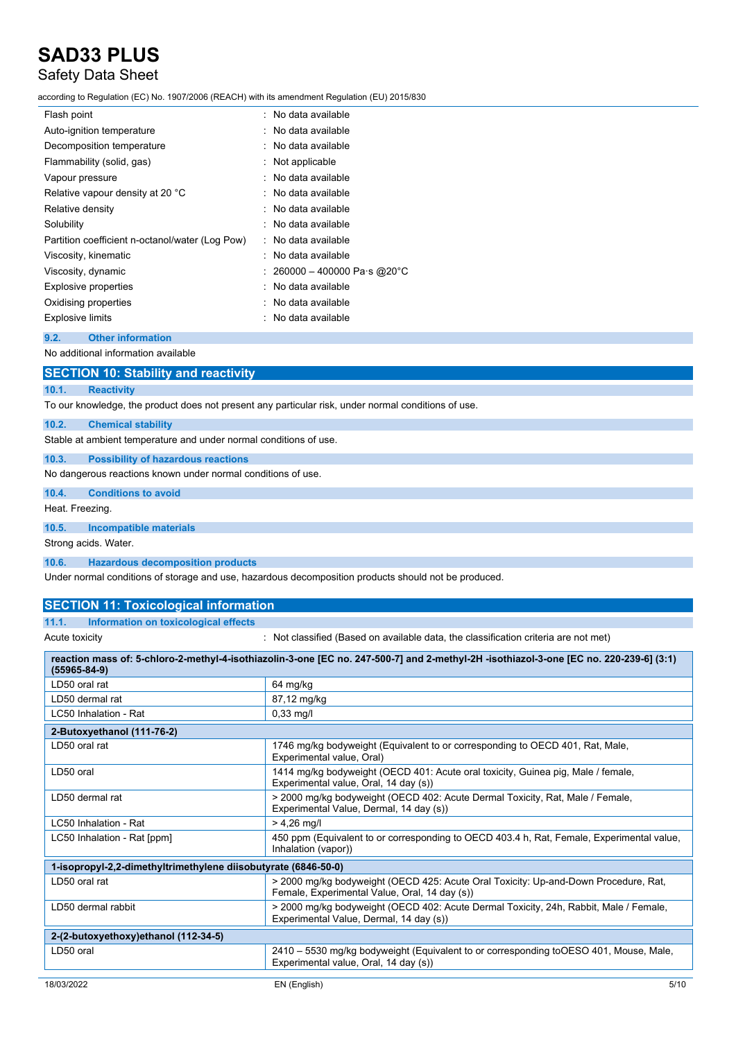### Safety Data Sheet

according to Regulation (EC) No. 1907/2006 (REACH) with its amendment Regulation (EU) 2015/830

| Flash point                                     | : No data available          |
|-------------------------------------------------|------------------------------|
| Auto-ignition temperature                       | : No data available          |
| Decomposition temperature                       | : No data available          |
| Flammability (solid, gas)                       | : Not applicable             |
| Vapour pressure                                 | No data available            |
| Relative vapour density at 20 °C                | : No data available          |
| Relative density                                | : No data available          |
| Solubility                                      | : No data available          |
| Partition coefficient n-octanol/water (Log Pow) | : No data available          |
| Viscosity, kinematic                            | No data available            |
| Viscosity, dynamic                              | : 260000 – 400000 Pa·s @20°C |
| Explosive properties                            | : No data available          |
| Oxidising properties                            | : No data available          |
| <b>Explosive limits</b>                         | No data available            |
|                                                 |                              |

#### **9.2. Other information**

No additional information available

| <b>SECTION 10: Stability and reactivity</b>                                                         |  |  |  |
|-----------------------------------------------------------------------------------------------------|--|--|--|
| <b>Reactivity</b><br>10.1.                                                                          |  |  |  |
| To our knowledge, the product does not present any particular risk, under normal conditions of use. |  |  |  |
| 10.2.<br><b>Chemical stability</b>                                                                  |  |  |  |
| Stable at ambient temperature and under normal conditions of use.                                   |  |  |  |
| 10.3.<br><b>Possibility of hazardous reactions</b>                                                  |  |  |  |
| No dangerous reactions known under normal conditions of use.                                        |  |  |  |
| <b>Conditions to avoid</b><br>10.4.                                                                 |  |  |  |
| Heat. Freezing.                                                                                     |  |  |  |
| Incompatible materials<br>10.5.                                                                     |  |  |  |
| Strong acids. Water.                                                                                |  |  |  |
| <b>Hazardous decomposition products</b><br>10.6.                                                    |  |  |  |
| Under permal conditions of sterage and use hazardous decomposition products should not be produced  |  |  |  |

Under normal conditions of storage and use, hazardous decomposition products should not be produced.

**SECTION 11: Toxicological information 11.1. Information on toxicological effects**

Acute toxicity **interest in the classified (Based on available data, the classification criteria are not met)** 

| reaction mass of: 5-chloro-2-methyl-4-isothiazolin-3-one [EC no. 247-500-7] and 2-methyl-2H -isothiazol-3-one [EC no. 220-239-6] (3:1)<br>(55965-84-9) |                                                                                                                                      |  |
|--------------------------------------------------------------------------------------------------------------------------------------------------------|--------------------------------------------------------------------------------------------------------------------------------------|--|
| LD50 oral rat                                                                                                                                          | 64 mg/kg                                                                                                                             |  |
| LD50 dermal rat                                                                                                                                        | 87,12 mg/kg                                                                                                                          |  |
| LC50 Inhalation - Rat                                                                                                                                  | $0,33 \text{ mg/l}$                                                                                                                  |  |
| 2-Butoxyethanol (111-76-2)                                                                                                                             |                                                                                                                                      |  |
| LD50 oral rat                                                                                                                                          | 1746 mg/kg bodyweight (Equivalent to or corresponding to OECD 401, Rat, Male,<br>Experimental value, Oral)                           |  |
| LD50 oral                                                                                                                                              | 1414 mg/kg bodyweight (OECD 401: Acute oral toxicity, Guinea pig, Male / female,<br>Experimental value, Oral, 14 day (s))            |  |
| LD50 dermal rat                                                                                                                                        | > 2000 mg/kg bodyweight (OECD 402: Acute Dermal Toxicity, Rat, Male / Female,<br>Experimental Value, Dermal, 14 day (s))             |  |
| LC50 Inhalation - Rat                                                                                                                                  | $> 4.26$ mg/l                                                                                                                        |  |
| LC50 Inhalation - Rat [ppm]                                                                                                                            | 450 ppm (Equivalent to or corresponding to OECD 403.4 h, Rat, Female, Experimental value,<br>Inhalation (vapor))                     |  |
| 1-isopropyl-2,2-dimethyltrimethylene diisobutyrate (6846-50-0)                                                                                         |                                                                                                                                      |  |
| LD50 oral rat                                                                                                                                          | > 2000 mg/kg bodyweight (OECD 425: Acute Oral Toxicity: Up-and-Down Procedure, Rat,<br>Female, Experimental Value, Oral, 14 day (s)) |  |
| LD50 dermal rabbit                                                                                                                                     | > 2000 mg/kg bodyweight (OECD 402: Acute Dermal Toxicity, 24h, Rabbit, Male / Female,<br>Experimental Value, Dermal, 14 day (s))     |  |
| 2-(2-butoxyethoxy)ethanol (112-34-5)                                                                                                                   |                                                                                                                                      |  |
| LD50 oral                                                                                                                                              | 2410 - 5530 mg/kg bodyweight (Equivalent to or corresponding toOESO 401, Mouse, Male,<br>Experimental value, Oral, 14 day (s))       |  |
|                                                                                                                                                        |                                                                                                                                      |  |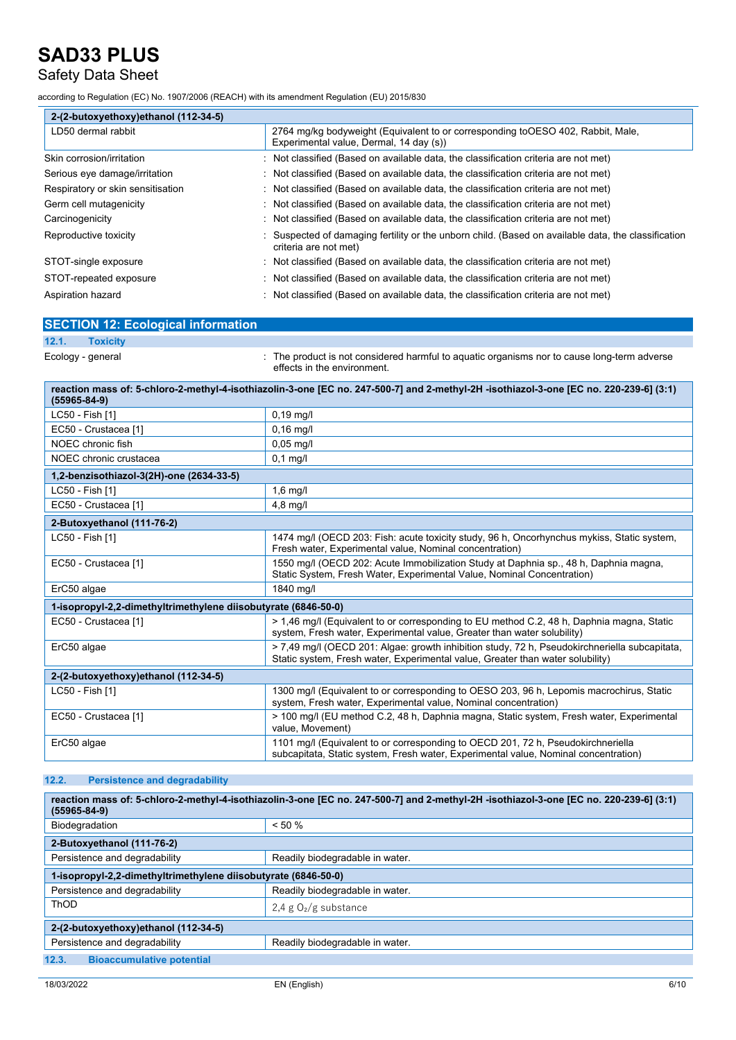## Safety Data Sheet

according to Regulation (EC) No. 1907/2006 (REACH) with its amendment Regulation (EU) 2015/830

| 2-(2-butoxyethoxy)ethanol (112-34-5) |                                                                                                                              |
|--------------------------------------|------------------------------------------------------------------------------------------------------------------------------|
| LD50 dermal rabbit                   | 2764 mg/kg bodyweight (Equivalent to or corresponding to OESO 402, Rabbit, Male,<br>Experimental value, Dermal, 14 day (s))  |
| Skin corrosion/irritation            | : Not classified (Based on available data, the classification criteria are not met)                                          |
| Serious eye damage/irritation        | : Not classified (Based on available data, the classification criteria are not met)                                          |
| Respiratory or skin sensitisation    | : Not classified (Based on available data, the classification criteria are not met)                                          |
| Germ cell mutagenicity               | : Not classified (Based on available data, the classification criteria are not met)                                          |
| Carcinogenicity                      | : Not classified (Based on available data, the classification criteria are not met)                                          |
| Reproductive toxicity                | : Suspected of damaging fertility or the unborn child. (Based on available data, the classification<br>criteria are not met) |
| STOT-single exposure                 | : Not classified (Based on available data, the classification criteria are not met)                                          |
| STOT-repeated exposure               | : Not classified (Based on available data, the classification criteria are not met)                                          |
| Aspiration hazard                    | $\therefore$ Not classified (Based on available data, the classification criteria are not met)                               |

| <b>SECTION 12: Ecological information</b>                      |                                                                                                                                                                                 |  |  |
|----------------------------------------------------------------|---------------------------------------------------------------------------------------------------------------------------------------------------------------------------------|--|--|
| 12.1.<br><b>Toxicity</b>                                       |                                                                                                                                                                                 |  |  |
| Ecology - general                                              | The product is not considered harmful to aquatic organisms nor to cause long-term adverse<br>effects in the environment.                                                        |  |  |
| $(55965 - 84 - 9)$                                             | reaction mass of: 5-chloro-2-methyl-4-isothiazolin-3-one [EC no. 247-500-7] and 2-methyl-2H -isothiazol-3-one [EC no. 220-239-6] (3:1)                                          |  |  |
| LC50 - Fish [1]                                                | $0,19$ mg/l                                                                                                                                                                     |  |  |
| EC50 - Crustacea [1]                                           | $0,16$ mg/l                                                                                                                                                                     |  |  |
| NOEC chronic fish                                              | $0.05$ mg/l                                                                                                                                                                     |  |  |
| NOEC chronic crustacea                                         | $0.1$ mg/l                                                                                                                                                                      |  |  |
| 1,2-benzisothiazol-3(2H)-one (2634-33-5)                       |                                                                                                                                                                                 |  |  |
| LC50 - Fish [1]                                                | $1,6$ mg/l                                                                                                                                                                      |  |  |
| EC50 - Crustacea [1]                                           | $4,8$ mg/l                                                                                                                                                                      |  |  |
| 2-Butoxyethanol (111-76-2)                                     |                                                                                                                                                                                 |  |  |
| LC50 - Fish [1]                                                | 1474 mg/l (OECD 203: Fish: acute toxicity study, 96 h, Oncorhynchus mykiss, Static system,<br>Fresh water, Experimental value, Nominal concentration)                           |  |  |
| EC50 - Crustacea [1]                                           | 1550 mg/l (OECD 202: Acute Immobilization Study at Daphnia sp., 48 h, Daphnia magna,<br>Static System, Fresh Water, Experimental Value, Nominal Concentration)                  |  |  |
| ErC50 algae                                                    | 1840 mg/l                                                                                                                                                                       |  |  |
| 1-isopropyl-2,2-dimethyltrimethylene diisobutyrate (6846-50-0) |                                                                                                                                                                                 |  |  |
| EC50 - Crustacea [1]                                           | > 1,46 mg/l (Equivalent to or corresponding to EU method C.2, 48 h, Daphnia magna, Static<br>system, Fresh water, Experimental value, Greater than water solubility)            |  |  |
| ErC50 algae                                                    | > 7,49 mg/l (OECD 201: Algae: growth inhibition study, 72 h, Pseudokirchneriella subcapitata,<br>Static system, Fresh water, Experimental value, Greater than water solubility) |  |  |
| 2-(2-butoxyethoxy)ethanol (112-34-5)                           |                                                                                                                                                                                 |  |  |
| LC50 - Fish [1]                                                | 1300 mg/l (Equivalent to or corresponding to OESO 203, 96 h, Lepomis macrochirus, Static<br>system, Fresh water, Experimental value, Nominal concentration)                     |  |  |
| EC50 - Crustacea [1]                                           | > 100 mg/l (EU method C.2, 48 h, Daphnia magna, Static system, Fresh water, Experimental<br>value, Movement)                                                                    |  |  |
| ErC50 algae                                                    | 1101 mg/l (Equivalent to or corresponding to OECD 201, 72 h, Pseudokirchneriella<br>subcapitata, Static system, Fresh water, Experimental value, Nominal concentration)         |  |  |

### **12.2. Persistence and degradability**

| reaction mass of: 5-chloro-2-methyl-4-isothiazolin-3-one [EC no. 247-500-7] and 2-methyl-2H -isothiazol-3-one [EC no. 220-239-6] (3:1)<br>$(55965 - 84 - 9)$ |                                 |  |  |
|--------------------------------------------------------------------------------------------------------------------------------------------------------------|---------------------------------|--|--|
| Biodegradation                                                                                                                                               | $< 50 \%$                       |  |  |
| 2-Butoxyethanol (111-76-2)                                                                                                                                   |                                 |  |  |
| Persistence and degradability                                                                                                                                | Readily biodegradable in water. |  |  |
| 1-isopropyl-2,2-dimethyltrimethylene diisobutyrate (6846-50-0)                                                                                               |                                 |  |  |
| Persistence and degradability                                                                                                                                | Readily biodegradable in water. |  |  |
| ThOD                                                                                                                                                         | 2.4 g $O_2/g$ substance         |  |  |
| 2-(2-butoxyethoxy)ethanol (112-34-5)                                                                                                                         |                                 |  |  |
| Persistence and degradability                                                                                                                                | Readily biodegradable in water. |  |  |
| 12.3.<br><b>Bioaccumulative potential</b>                                                                                                                    |                                 |  |  |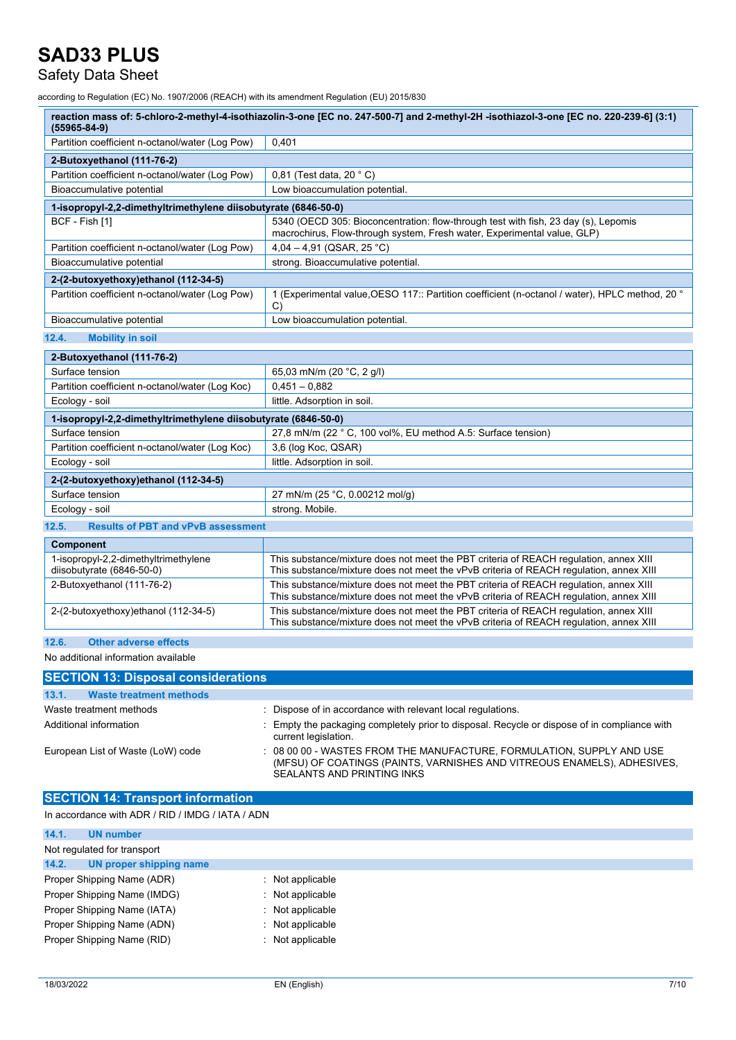### Safety Data Sheet

according to Regulation (EC) No. 1907/2006 (REACH) with its amendment Regulation (EU) 2015/830

| reaction mass of: 5-chloro-2-methyl-4-isothiazolin-3-one [EC no. 247-500-7] and 2-methyl-2H -isothiazol-3-one [EC no. 220-239-6] (3:1)<br>$(55965 - 84 - 9)$ |                                                                                                                                                                                 |  |  |
|--------------------------------------------------------------------------------------------------------------------------------------------------------------|---------------------------------------------------------------------------------------------------------------------------------------------------------------------------------|--|--|
| Partition coefficient n-octanol/water (Log Pow)                                                                                                              | 0.401                                                                                                                                                                           |  |  |
| 2-Butoxyethanol (111-76-2)                                                                                                                                   |                                                                                                                                                                                 |  |  |
| Partition coefficient n-octanol/water (Log Pow)                                                                                                              | 0,81 (Test data, 20 °C)                                                                                                                                                         |  |  |
| Bioaccumulative potential                                                                                                                                    | Low bioaccumulation potential.                                                                                                                                                  |  |  |
| 1-isopropyl-2,2-dimethyltrimethylene diisobutyrate (6846-50-0)                                                                                               |                                                                                                                                                                                 |  |  |
| BCF - Fish [1]                                                                                                                                               | 5340 (OECD 305: Bioconcentration: flow-through test with fish, 23 day (s), Lepomis<br>macrochirus, Flow-through system, Fresh water, Experimental value, GLP)                   |  |  |
| Partition coefficient n-octanol/water (Log Pow)                                                                                                              | 4,04 - 4,91 (QSAR, 25 °C)                                                                                                                                                       |  |  |
| Bioaccumulative potential                                                                                                                                    | strong. Bioaccumulative potential.                                                                                                                                              |  |  |
| 2-(2-butoxyethoxy)ethanol (112-34-5)                                                                                                                         |                                                                                                                                                                                 |  |  |
| Partition coefficient n-octanol/water (Log Pow)                                                                                                              | 1 (Experimental value, OESO 117:: Partition coefficient (n-octanol / water), HPLC method, 20 °<br>$\mathcal{C}$                                                                 |  |  |
| Bioaccumulative potential                                                                                                                                    | Low bioaccumulation potential.                                                                                                                                                  |  |  |
| 12.4.<br><b>Mobility in soil</b>                                                                                                                             |                                                                                                                                                                                 |  |  |
| 2-Butoxyethanol (111-76-2)                                                                                                                                   |                                                                                                                                                                                 |  |  |
| Surface tension                                                                                                                                              | 65,03 mN/m (20 °C, 2 g/l)                                                                                                                                                       |  |  |
| Partition coefficient n-octanol/water (Log Koc)                                                                                                              | $0,451 - 0,882$                                                                                                                                                                 |  |  |
| Ecology - soil                                                                                                                                               | little. Adsorption in soil.                                                                                                                                                     |  |  |
| 1-isopropyl-2,2-dimethyltrimethylene diisobutyrate (6846-50-0)                                                                                               |                                                                                                                                                                                 |  |  |
| Surface tension                                                                                                                                              | 27,8 mN/m (22 ° C, 100 vol%, EU method A.5: Surface tension)                                                                                                                    |  |  |
| Partition coefficient n-octanol/water (Log Koc)                                                                                                              | 3,6 (log Koc, QSAR)                                                                                                                                                             |  |  |
| Ecology - soil                                                                                                                                               | little. Adsorption in soil.                                                                                                                                                     |  |  |
| 2-(2-butoxyethoxy)ethanol (112-34-5)                                                                                                                         |                                                                                                                                                                                 |  |  |
| Surface tension                                                                                                                                              | 27 mN/m (25 °C, 0.00212 mol/g)                                                                                                                                                  |  |  |
| Ecology - soil                                                                                                                                               | strong. Mobile.                                                                                                                                                                 |  |  |
| <b>Results of PBT and vPvB assessment</b><br>12.5.                                                                                                           |                                                                                                                                                                                 |  |  |
| <b>Component</b>                                                                                                                                             |                                                                                                                                                                                 |  |  |
| 1-isopropyl-2,2-dimethyltrimethylene<br>diisobutyrate (6846-50-0)                                                                                            | This substance/mixture does not meet the PBT criteria of REACH regulation, annex XIII<br>This substance/mixture does not meet the vPvB criteria of REACH regulation, annex XIII |  |  |
| 2-Butoxyethanol (111-76-2)                                                                                                                                   | This substance/mixture does not meet the PBT criteria of REACH requlation, annex XIII<br>This substance/mixture does not meet the vPvB criteria of REACH regulation, annex XIII |  |  |
| 2-(2-butoxyethoxy)ethanol (112-34-5)                                                                                                                         | This substance/mixture does not meet the PBT criteria of REACH regulation, annex XIII<br>This substance/mixture does not meet the vPvB criteria of REACH regulation, annex XIII |  |  |
| 12.6.<br><b>Other adverse effects</b>                                                                                                                        |                                                                                                                                                                                 |  |  |

No additional information available

| <b>SECTION 13: Disposal considerations</b> |                                                                                                                                                                              |
|--------------------------------------------|------------------------------------------------------------------------------------------------------------------------------------------------------------------------------|
| 13.1.<br><b>Waste treatment methods</b>    |                                                                                                                                                                              |
| Waste treatment methods                    | : Dispose of in accordance with relevant local regulations.                                                                                                                  |
| Additional information                     | : Empty the packaging completely prior to disposal. Recycle or dispose of in compliance with<br>current legislation.                                                         |
| European List of Waste (LoW) code          | 08 00 00 - WASTES FROM THE MANUFACTURE, FORMULATION, SUPPLY AND USE<br>(MFSU) OF COATINGS (PAINTS, VARNISHES AND VITREOUS ENAMELS), ADHESIVES,<br>SEALANTS AND PRINTING INKS |

### **SECTION 14: Transport information**

In accordance with ADR / RID / IMDG / IATA / ADN

| 14.1.                       | UN number                   |                             |
|-----------------------------|-----------------------------|-----------------------------|
| Not regulated for transport |                             |                             |
| 14.2.                       | UN proper shipping name     |                             |
|                             | Proper Shipping Name (ADR)  | $\therefore$ Not applicable |
|                             | Proper Shipping Name (IMDG) | $\therefore$ Not applicable |
|                             | Proper Shipping Name (IATA) | $\therefore$ Not applicable |
|                             | Proper Shipping Name (ADN)  | $\therefore$ Not applicable |
|                             | Proper Shipping Name (RID)  | $\therefore$ Not applicable |
|                             |                             |                             |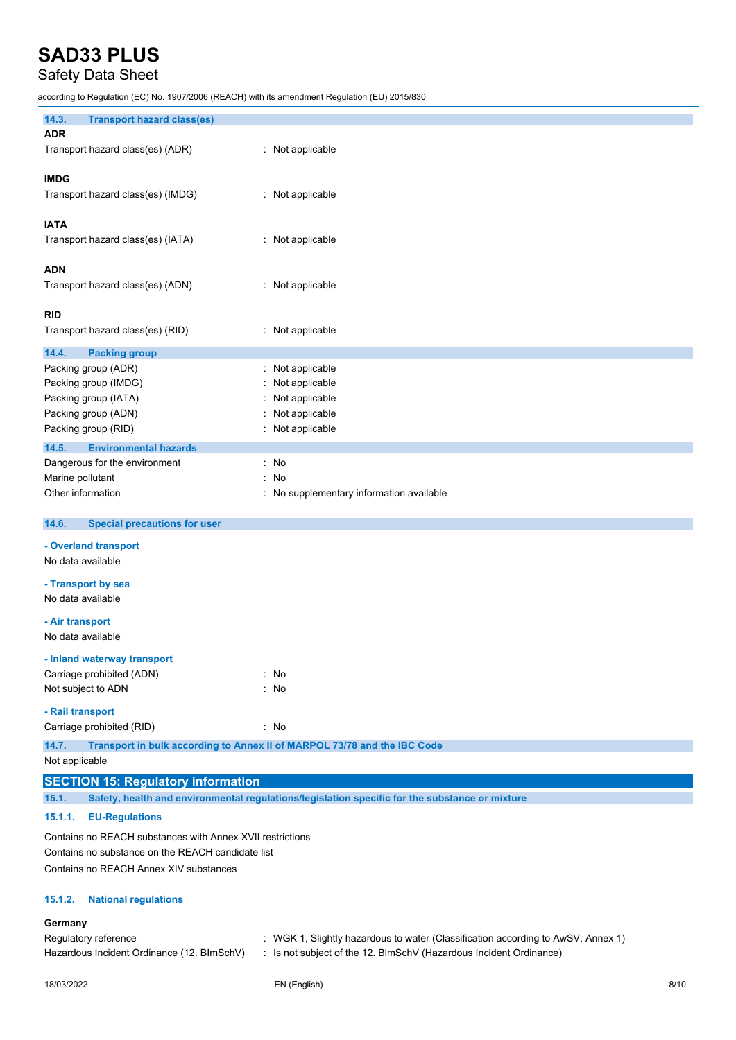## Safety Data Sheet

according to Regulation (EC) No. 1907/2006 (REACH) with its amendment Regulation (EU) 2015/830

| 14.3.<br><b>Transport hazard class(es)</b>                |                                                                                                |  |
|-----------------------------------------------------------|------------------------------------------------------------------------------------------------|--|
| <b>ADR</b>                                                |                                                                                                |  |
| Transport hazard class(es) (ADR)                          | : Not applicable                                                                               |  |
|                                                           |                                                                                                |  |
| <b>IMDG</b>                                               |                                                                                                |  |
| Transport hazard class(es) (IMDG)                         | : Not applicable                                                                               |  |
|                                                           |                                                                                                |  |
| <b>IATA</b>                                               |                                                                                                |  |
| Transport hazard class(es) (IATA)                         | : Not applicable                                                                               |  |
|                                                           |                                                                                                |  |
| <b>ADN</b>                                                |                                                                                                |  |
| Transport hazard class(es) (ADN)                          | : Not applicable                                                                               |  |
|                                                           |                                                                                                |  |
| <b>RID</b>                                                |                                                                                                |  |
| Transport hazard class(es) (RID)                          | : Not applicable                                                                               |  |
|                                                           |                                                                                                |  |
| 14.4.<br><b>Packing group</b>                             | : Not applicable                                                                               |  |
| Packing group (ADR)                                       |                                                                                                |  |
| Packing group (IMDG)                                      | Not applicable                                                                                 |  |
| Packing group (IATA)                                      | Not applicable                                                                                 |  |
| Packing group (ADN)                                       | Not applicable                                                                                 |  |
| Packing group (RID)                                       | Not applicable                                                                                 |  |
| 14.5.<br><b>Environmental hazards</b>                     |                                                                                                |  |
| Dangerous for the environment                             | No                                                                                             |  |
| Marine pollutant                                          | No                                                                                             |  |
| Other information                                         | No supplementary information available                                                         |  |
|                                                           |                                                                                                |  |
| 14.6.<br><b>Special precautions for user</b>              |                                                                                                |  |
| - Overland transport                                      |                                                                                                |  |
| No data available                                         |                                                                                                |  |
|                                                           |                                                                                                |  |
| - Transport by sea                                        |                                                                                                |  |
| No data available                                         |                                                                                                |  |
| - Air transport                                           |                                                                                                |  |
| No data available                                         |                                                                                                |  |
|                                                           |                                                                                                |  |
| - Inland waterway transport                               |                                                                                                |  |
| Carriage prohibited (ADN)                                 | $:$ No                                                                                         |  |
| Not subject to ADN                                        | No                                                                                             |  |
| - Rail transport                                          |                                                                                                |  |
| Carriage prohibited (RID)                                 | $\therefore$ No                                                                                |  |
| 14.7.                                                     | Transport in bulk according to Annex II of MARPOL 73/78 and the IBC Code                       |  |
| Not applicable                                            |                                                                                                |  |
|                                                           |                                                                                                |  |
| <b>SECTION 15: Regulatory information</b>                 |                                                                                                |  |
| 15.1.                                                     | Safety, health and environmental regulations/legislation specific for the substance or mixture |  |
| <b>EU-Regulations</b><br>15.1.1.                          |                                                                                                |  |
| Contains no REACH substances with Annex XVII restrictions |                                                                                                |  |
| Contains no substance on the REACH candidate list         |                                                                                                |  |
| Contains no REACH Annex XIV substances                    |                                                                                                |  |
|                                                           |                                                                                                |  |
| <b>National regulations</b><br>15.1.2.                    |                                                                                                |  |
|                                                           |                                                                                                |  |
| Germany                                                   |                                                                                                |  |
| Regulatory reference                                      | : WGK 1, Slightly hazardous to water (Classification according to AwSV, Annex 1)               |  |
| Hazardous Incident Ordinance (12. BImSchV)                | : Is not subject of the 12. BlmSchV (Hazardous Incident Ordinance)                             |  |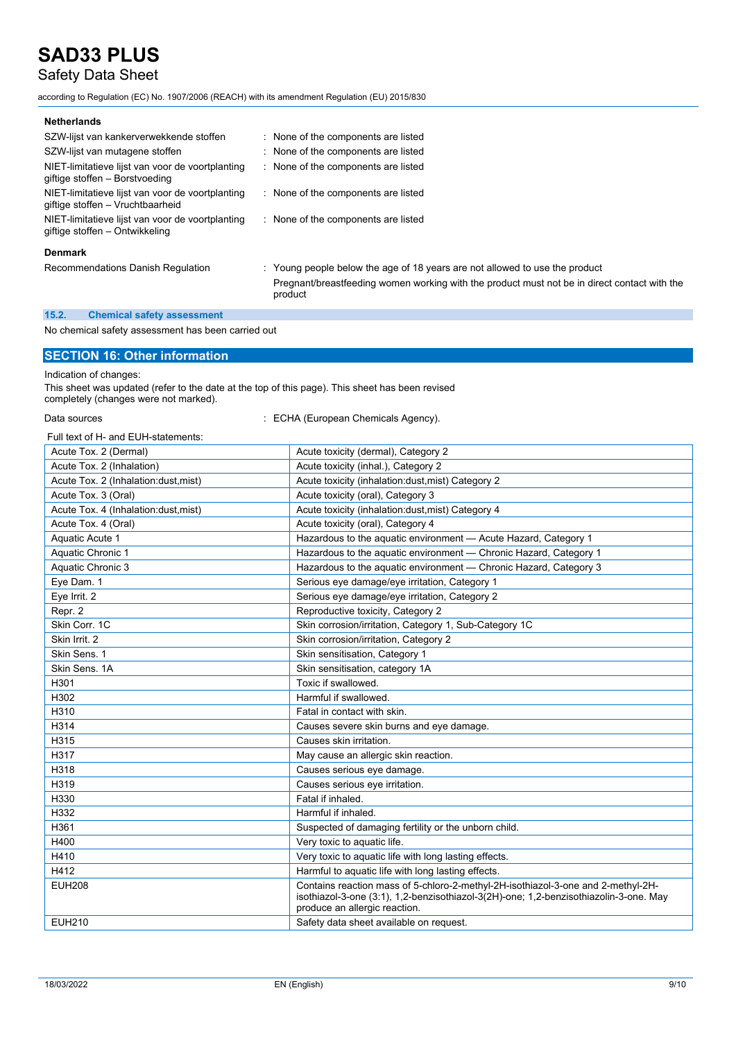## Safety Data Sheet

according to Regulation (EC) No. 1907/2006 (REACH) with its amendment Regulation (EU) 2015/830

| SZW-lijst van kankerverwekkende stoffen                                              | : None of the components are listed                                                                     |
|--------------------------------------------------------------------------------------|---------------------------------------------------------------------------------------------------------|
| SZW-lijst van mutagene stoffen                                                       | : None of the components are listed                                                                     |
| NIET-limitatieve lijst van voor de voortplanting<br>giftige stoffen - Borstvoeding   | : None of the components are listed                                                                     |
| NIET-limitatieve lijst van voor de voortplanting<br>giftige stoffen - Vruchtbaarheid | : None of the components are listed                                                                     |
| NIET-limitatieve lijst van voor de voortplanting<br>giftige stoffen – Ontwikkeling   | : None of the components are listed                                                                     |
| <b>Denmark</b>                                                                       |                                                                                                         |
| Recommendations Danish Regulation                                                    | : Young people below the age of 18 years are not allowed to use the product                             |
|                                                                                      | Pregnant/breastfeeding women working with the product must not be in direct contact with the<br>product |

#### **15.2. Chemical safety assessment**

No chemical safety assessment has been carried out

#### **SECTION 16: Other information**

Indication of changes:

This sheet was updated (refer to the date at the top of this page). This sheet has been revised completely (changes were not marked).

Data sources **in the source of the CHA** (European Chemicals Agency).

Full text of H- and EUH-statements:

| ull text of the and EDI restatements |                                                                                                                                                                                                            |
|--------------------------------------|------------------------------------------------------------------------------------------------------------------------------------------------------------------------------------------------------------|
| Acute Tox. 2 (Dermal)                | Acute toxicity (dermal), Category 2                                                                                                                                                                        |
| Acute Tox. 2 (Inhalation)            | Acute toxicity (inhal.), Category 2                                                                                                                                                                        |
| Acute Tox. 2 (Inhalation:dust, mist) | Acute toxicity (inhalation:dust, mist) Category 2                                                                                                                                                          |
| Acute Tox. 3 (Oral)                  | Acute toxicity (oral), Category 3                                                                                                                                                                          |
| Acute Tox. 4 (Inhalation:dust.mist)  | Acute toxicity (inhalation:dust, mist) Category 4                                                                                                                                                          |
| Acute Tox. 4 (Oral)                  | Acute toxicity (oral), Category 4                                                                                                                                                                          |
| Aquatic Acute 1                      | Hazardous to the aquatic environment - Acute Hazard, Category 1                                                                                                                                            |
| Aquatic Chronic 1                    | Hazardous to the aquatic environment - Chronic Hazard, Category 1                                                                                                                                          |
| Aquatic Chronic 3                    | Hazardous to the aquatic environment - Chronic Hazard, Category 3                                                                                                                                          |
| Eye Dam. 1                           | Serious eye damage/eye irritation, Category 1                                                                                                                                                              |
| Eye Irrit. 2                         | Serious eye damage/eye irritation, Category 2                                                                                                                                                              |
| Repr. 2                              | Reproductive toxicity, Category 2                                                                                                                                                                          |
| Skin Corr. 1C                        | Skin corrosion/irritation, Category 1, Sub-Category 1C                                                                                                                                                     |
| Skin Irrit. 2                        | Skin corrosion/irritation, Category 2                                                                                                                                                                      |
| Skin Sens. 1                         | Skin sensitisation, Category 1                                                                                                                                                                             |
| Skin Sens, 1A                        | Skin sensitisation, category 1A                                                                                                                                                                            |
| H301                                 | Toxic if swallowed                                                                                                                                                                                         |
| H302                                 | Harmful if swallowed.                                                                                                                                                                                      |
| H310                                 | Fatal in contact with skin.                                                                                                                                                                                |
| H314                                 | Causes severe skin burns and eye damage.                                                                                                                                                                   |
| H315                                 | Causes skin irritation.                                                                                                                                                                                    |
| H317                                 | May cause an allergic skin reaction.                                                                                                                                                                       |
| H318                                 | Causes serious eye damage.                                                                                                                                                                                 |
| H319                                 | Causes serious eye irritation.                                                                                                                                                                             |
| H330                                 | Fatal if inhaled.                                                                                                                                                                                          |
| H332                                 | Harmful if inhaled.                                                                                                                                                                                        |
| H361                                 | Suspected of damaging fertility or the unborn child.                                                                                                                                                       |
| H400                                 | Very toxic to aquatic life.                                                                                                                                                                                |
| H410                                 | Very toxic to aquatic life with long lasting effects.                                                                                                                                                      |
| H412                                 | Harmful to aquatic life with long lasting effects.                                                                                                                                                         |
| <b>EUH208</b>                        | Contains reaction mass of 5-chloro-2-methyl-2H-isothiazol-3-one and 2-methyl-2H-<br>isothiazol-3-one (3:1), 1,2-benzisothiazol-3(2H)-one; 1,2-benzisothiazolin-3-one. May<br>produce an allergic reaction. |
| <b>EUH210</b>                        | Safety data sheet available on request.                                                                                                                                                                    |
|                                      |                                                                                                                                                                                                            |